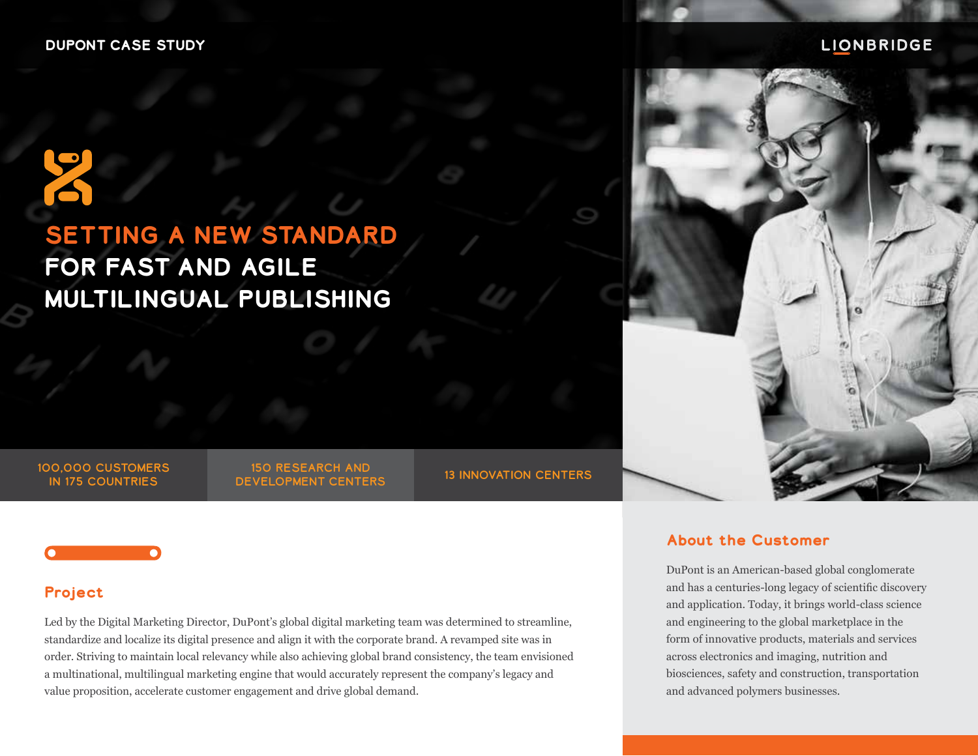**SETTING A NEW STANDARD** 

**MULTILINGUAL PUBLISHING**

**FOR FAST AND AGILE** 

#### 100,000 CUSTOMERS IN 175 COUNTRIES

150 RESEARCH AND DEVELOPMENT CENTERS 13 INNOVATION CENTERS

# **Project**

Led by the Digital Marketing Director, DuPont's global digital marketing team was determined to streamline, standardize and localize its digital presence and align it with the corporate brand. A revamped site was in order. Striving to maintain local relevancy while also achieving global brand consistency, the team envisioned a multinational, multilingual marketing engine that would accurately represent the company's legacy and value proposition, accelerate customer engagement and drive global demand.

# **About the Customer**

DuPont is an American-based global conglomerate and has a centuries-long legacy of scientific discovery and application. Today, it brings world-class science and engineering to the global marketplace in the form of innovative products, materials and services across electronics and imaging, nutrition and biosciences, safety and construction, transportation and advanced polymers businesses.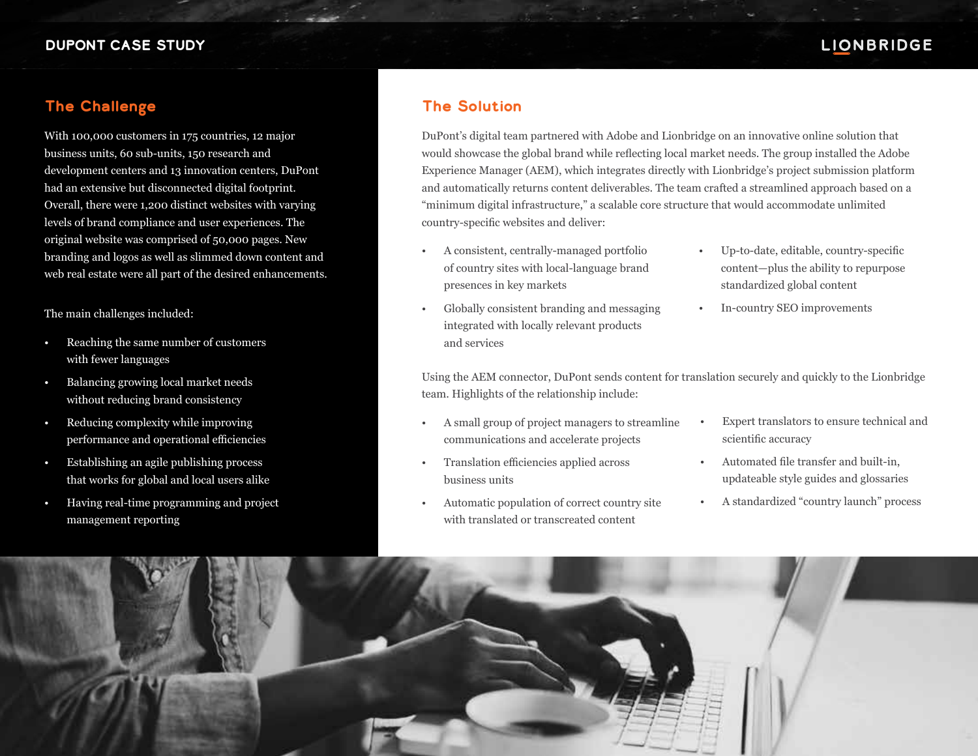#### **DUPONT CASE STUDY**

# LIONBRIDGE

# **The Challenge**

With 100,000 customers in 175 countries, 12 major business units, 60 sub-units, 150 research and development centers and 13 innovation centers, DuPont had an extensive but disconnected digital footprint. Overall, there were 1,200 distinct websites with varying levels of brand compliance and user experiences. The original website was comprised of 50,000 pages. New branding and logos as well as slimmed down content and web real estate were all part of the desired enhancements.

The main challenges included:

- Reaching the same number of customers with fewer languages
- Balancing growing local market needs without reducing brand consistency
- Reducing complexity while improving performance and operational efficiencies
- Establishing an agile publishing process that works for global and local users alike
- Having real-time programming and project management reporting

## **The Solution**

DuPont's digital team partnered with Adobe and Lionbridge on an innovative online solution that would showcase the global brand while reflecting local market needs. The group installed the Adobe Experience Manager (AEM), which integrates directly with Lionbridge's project submission platform and automatically returns content deliverables. The team crafted a streamlined approach based on a "minimum digital infrastructure," a scalable core structure that would accommodate unlimited country-specific websites and deliver:

- A consistent, centrally-managed portfolio of country sites with local-language brand presences in key markets
- Globally consistent branding and messaging integrated with locally relevant products and services
- Up-to-date, editable, country-specific content—plus the ability to repurpose standardized global content
- In-country SEO improvements

Using the AEM connector, DuPont sends content for translation securely and quickly to the Lionbridge team. Highlights of the relationship include:

- A small group of project managers to streamline communications and accelerate projects
- Translation efficiencies applied across business units
- Automatic population of correct country site with translated or transcreated content
- Expert translators to ensure technical and scientific accuracy
- Automated file transfer and built-in, updateable style guides and glossaries
- A standardized "country launch" process